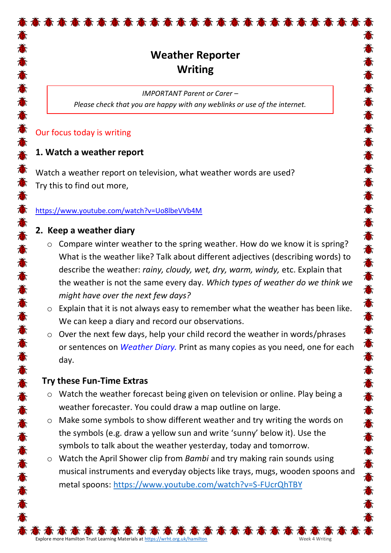# **Weather Reporter Writing**

高高高高高高高高高高高高高高高高高高高高高

*IMPORTANT Parent or Carer – Please check that you are happy with any weblinks or use of the internet.*

## Our focus today is writing

# **1. Watch a weather report**

Watch a weather report on television, what weather words are used? Try this to find out more,

#### <https://www.youtube.com/watch?v=Uo8lbeVVb4M>

### **2. Keep a weather diary**

- o Compare winter weather to the spring weather. How do we know it is spring? What is the weather like? Talk about different adjectives (describing words) to describe the weather: *rainy, cloudy, wet, dry, warm, windy,* etc. Explain that the weather is not the same every day. *Which types of weather do we think we might have over the next few days?*
- o Explain that it is not always easy to remember what the weather has been like. We can keep a diary and record our observations.
- o Over the next few days, help your child record the weather in words/phrases or sentences on *Weather Diary.* Print as many copies as you need, one for each day.

# **Try these Fun-Time Extras**

- o Watch the weather forecast being given on television or online. Play being a weather forecaster. You could draw a map outline on large.
- o Make some symbols to show different weather and try writing the words on the symbols (e.g. draw a yellow sun and write 'sunny' below it). Use the symbols to talk about the weather yesterday, today and tomorrow.
- o Watch the April Shower clip from *Bambi* and try making rain sounds using musical instruments and everyday objects like trays, mugs, wooden spoons and metal spoons:<https://www.youtube.com/watch?v=S-FUcrQhTBY>

5 查 查 查 查 查 查

Explore more Hamilton Trust Learning Materials at <https://wrht.org.uk/hamilton> Week 4 Writing Week 4 Writing